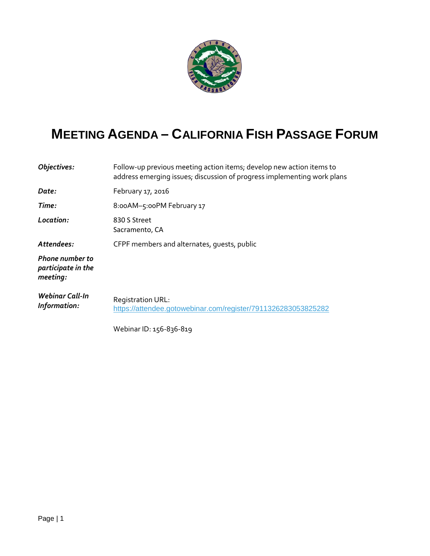

## **MEETING AGENDA – CALIFORNIA FISH PASSAGE FORUM**

| Objectives:                                              | Follow-up previous meeting action items; develop new action items to<br>address emerging issues; discussion of progress implementing work plans |
|----------------------------------------------------------|-------------------------------------------------------------------------------------------------------------------------------------------------|
| Date:                                                    | February 17, 2016                                                                                                                               |
| Time:                                                    | 8:00AM-5:00PM February 17                                                                                                                       |
| Location:                                                | 830 S Street<br>Sacramento, CA                                                                                                                  |
| Attendees:                                               | CFPF members and alternates, quests, public                                                                                                     |
| <b>Phone number to</b><br>participate in the<br>meeting: |                                                                                                                                                 |
| Webinar Call-In<br>Information:                          | <b>Registration URL:</b><br>https://attendee.gotowebinar.com/register/7911326283053825282                                                       |
|                                                          | Webinar ID: 156-836-819                                                                                                                         |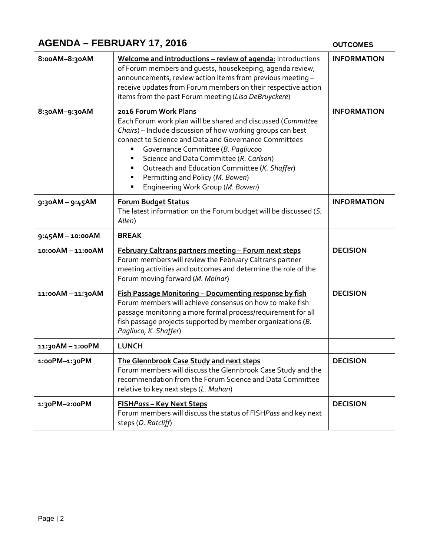## **AGENDA – FEBRUARY 17, 2016**

## **OUTCOMES**

| 8:00AM-8:30AM   | Welcome and introductions - review of agenda: Introductions<br>of Forum members and guests, housekeeping, agenda review,<br>announcements, review action items from previous meeting -<br>receive updates from Forum members on their respective action<br>items from the past Forum meeting (Lisa DeBruyckere)                                                                                                                    | <b>INFORMATION</b> |
|-----------------|------------------------------------------------------------------------------------------------------------------------------------------------------------------------------------------------------------------------------------------------------------------------------------------------------------------------------------------------------------------------------------------------------------------------------------|--------------------|
| 8:30AM-9:30AM   | 2016 Forum Work Plans<br>Each Forum work plan will be shared and discussed (Committee<br>Chairs) - Include discussion of how working groups can best<br>connect to Science and Data and Governance Committees<br>Governance Committee (B. Pagliucoo<br>Science and Data Committee (R. Carlson)<br>Outreach and Education Committee (K. Shaffer)<br>п<br>Permitting and Policy (M. Bowen)<br>Engineering Work Group (M. Bowen)<br>Ξ | <b>INFORMATION</b> |
| 9:30AM - 9:45AM | <b>Forum Budget Status</b><br>The latest information on the Forum budget will be discussed (S.<br>Allen)                                                                                                                                                                                                                                                                                                                           | <b>INFORMATION</b> |
| 9:45AM-10:00AM  | <b>BREAK</b>                                                                                                                                                                                                                                                                                                                                                                                                                       |                    |
| 10:00AM-11:00AM | February Caltrans partners meeting - Forum next steps<br>Forum members will review the February Caltrans partner<br>meeting activities and outcomes and determine the role of the<br>Forum moving forward (M. Molnar)                                                                                                                                                                                                              | <b>DECISION</b>    |
| 11:00AM-11:30AM | Fish Passage Monitoring - Documenting response by fish<br>Forum members will achieve consensus on how to make fish<br>passage monitoring a more formal process/requirement for all<br>fish passage projects supported by member organizations (B.<br>Pagliuco, K. Shaffer)                                                                                                                                                         | <b>DECISION</b>    |
| 11:30AM-1:00PM  | <b>LUNCH</b>                                                                                                                                                                                                                                                                                                                                                                                                                       |                    |
| 1:00PM-1:30PM   | <b>The Glennbrook Case Study and next steps</b><br>Forum members will discuss the Glennbrook Case Study and the<br>recommendation from the Forum Science and Data Committee<br>relative to key next steps (L. Mahan)                                                                                                                                                                                                               | <b>DECISION</b>    |
| 1:30PM-2:00PM   | FISHPass - Key Next Steps<br>Forum members will discuss the status of FISHPass and key next<br>steps (D. Ratcliff)                                                                                                                                                                                                                                                                                                                 | <b>DECISION</b>    |